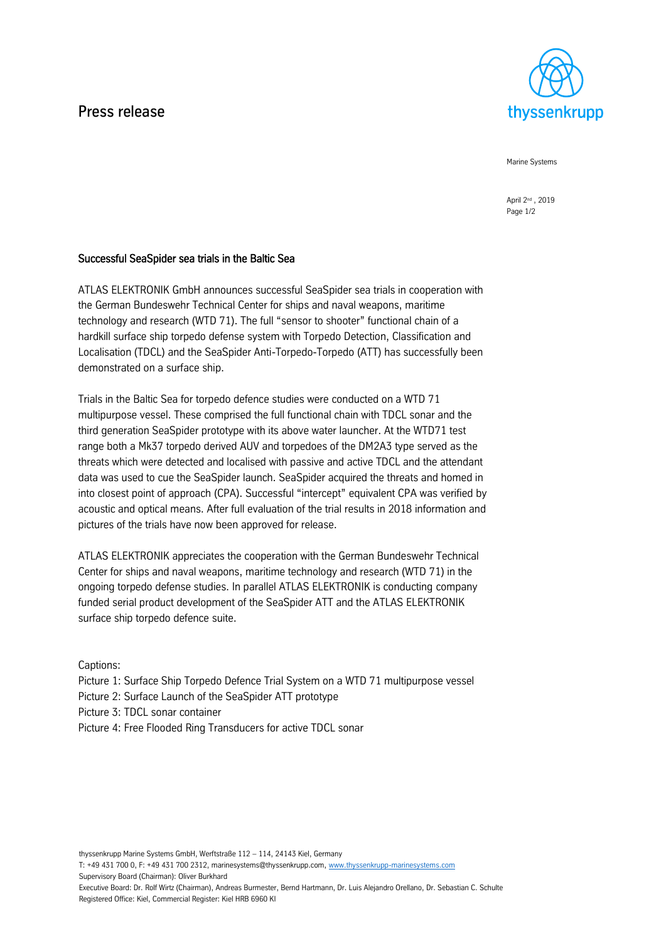# Press release



Marine Systems

April 2nd , 2019 Page 1/2

# Successful SeaSpider sea trials in the Baltic Sea

ATLAS ELEKTRONIK GmbH announces successful SeaSpider sea trials in cooperation with the German Bundeswehr Technical Center for ships and naval weapons, maritime technology and research (WTD 71). The full "sensor to shooter" functional chain of a hardkill surface ship torpedo defense system with Torpedo Detection, Classification and Localisation (TDCL) and the SeaSpider Anti-Torpedo-Torpedo (ATT) has successfully been demonstrated on a surface ship.

Trials in the Baltic Sea for torpedo defence studies were conducted on a WTD 71 multipurpose vessel. These comprised the full functional chain with TDCL sonar and the third generation SeaSpider prototype with its above water launcher. At the WTD71 test range both a Mk37 torpedo derived AUV and torpedoes of the DM2A3 type served as the threats which were detected and localised with passive and active TDCL and the attendant data was used to cue the SeaSpider launch. SeaSpider acquired the threats and homed in into closest point of approach (CPA). Successful "intercept" equivalent CPA was verified by acoustic and optical means. After full evaluation of the trial results in 2018 information and pictures of the trials have now been approved for release.

ATLAS ELEKTRONIK appreciates the cooperation with the German Bundeswehr Technical Center for ships and naval weapons, maritime technology and research (WTD 71) in the ongoing torpedo defense studies. In parallel ATLAS ELEKTRONIK is conducting company funded serial product development of the SeaSpider ATT and the ATLAS ELEKTRONIK surface ship torpedo defence suite.

Captions:

Picture 1: Surface Ship Torpedo Defence Trial System on a WTD 71 multipurpose vessel Picture 2: Surface Launch of the SeaSpider ATT prototype Picture 3: TDCL sonar container Picture 4: Free Flooded Ring Transducers for active TDCL sonar